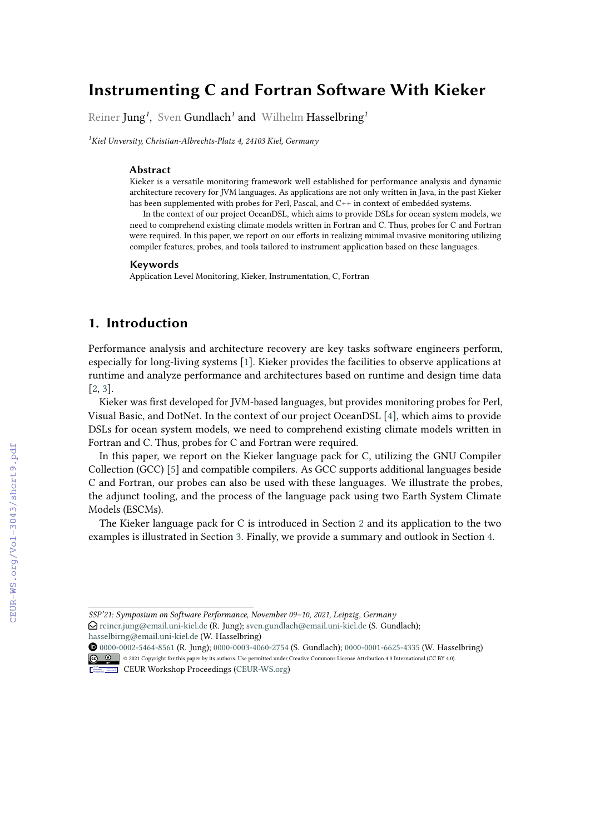# **Instrumenting C and Fortran Software With Kieker**

Reiner Jung*<sup>1</sup>* , Sven Gundlach*<sup>1</sup>* and Wilhelm Hasselbring*<sup>1</sup>*

*<sup>1</sup>Kiel Unversity, Christian-Albrechts-Platz 4, 24103 Kiel, Germany*

### **Abstract**

Kieker is a versatile monitoring framework well established for performance analysis and dynamic architecture recovery for JVM languages. As applications are not only written in Java, in the past Kieker has been supplemented with probes for Perl, Pascal, and C++ in context of embedded systems.

In the context of our project OceanDSL, which aims to provide DSLs for ocean system models, we need to comprehend existing climate models written in Fortran and C. Thus, probes for C and Fortran were required. In this paper, we report on our efforts in realizing minimal invasive monitoring utilizing compiler features, probes, and tools tailored to instrument application based on these languages.

#### **Keywords**

Application Level Monitoring, Kieker, Instrumentation, C, Fortran

# **1. Introduction**

Performance analysis and architecture recovery are key tasks software engineers perform, especially for long-living systems [\[1\]](#page--1-0). Kieker provides the facilities to observe applications at runtime and analyze performance and architectures based on runtime and design time data [\[2,](#page--1-1) [3\]](#page--1-2).

Kieker was first developed for JVM-based languages, but provides monitoring probes for Perl, Visual Basic, and DotNet. In the context of our project OceanDSL [\[4\]](#page--1-3), which aims to provide DSLs for ocean system models, we need to comprehend existing climate models written in Fortran and C. Thus, probes for C and Fortran were required.

In this paper, we report on the Kieker language pack for C, utilizing the GNU Compiler Collection (GCC) [\[5\]](#page--1-4) and compatible compilers. As GCC supports additional languages beside C and Fortran, our probes can also be used with these languages. We illustrate the probes, the adjunct tooling, and the process of the language pack using two Earth System Climate Models (ESCMs).

The Kieker language pack for C is introduced in Section [2](#page--1-5) and its application to the two examples is illustrated in Section [3.](#page--1-6) Finally, we provide a summary and outlook in Section [4.](#page--1-7)

*SSP'21: Symposium on Software Performance, November 09–10, 2021, Leipzig, Germany*  $\bigcirc$  [reiner.jung@email.uni-kiel.de](mailto:reiner.jung@email.uni-kiel.de) (R. Jung); [sven.gundlach@email.uni-kiel.de](mailto:sven.gundlach@email.uni-kiel.de) (S. Gundlach);

[hasselbirng@email.uni-kiel.de](mailto:hasselbirng@email.uni-kiel.de) (W. Hasselbring)

[0000-0002-5464-8561](https://orcid.org/0000-0002-5464-8561) (R. Jung); [0000-0003-4060-2754](https://orcid.org/0000-0003-4060-2754) (S. Gundlach); [0000-0001-6625-4335](https://orcid.org/0000-0001-6625-4335) (W. Hasselbring) © 2021 Copyright for this paper by its authors. Use permitted under Creative Commons License Attribution 4.0 International (CC BY 4.0).

**CEUR Workshop [Proceedings](http://ceur-ws.org) [\(CEUR-WS.org\)](http://ceur-ws.org)**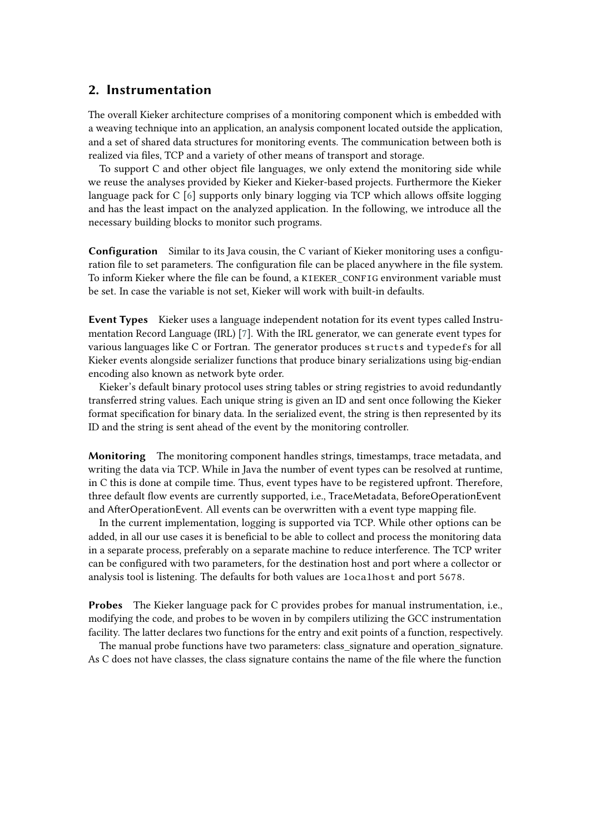### **2. Instrumentation**

The overall Kieker architecture comprises of a monitoring component which is embedded with a weaving technique into an application, an analysis component located outside the application, and a set of shared data structures for monitoring events. The communication between both is realized via files, TCP and a variety of other means of transport and storage.

To support C and other object file languages, we only extend the monitoring side while we reuse the analyses provided by Kieker and Kieker-based projects. Furthermore the Kieker language pack for C [\[6\]](#page-5-0) supports only binary logging via TCP which allows offsite logging and has the least impact on the analyzed application. In the following, we introduce all the necessary building blocks to monitor such programs.

**Configuration** Similar to its Java cousin, the C variant of Kieker monitoring uses a configuration file to set parameters. The configuration file can be placed anywhere in the file system. To inform Kieker where the file can be found, a KIEKER\_CONFIG environment variable must be set. In case the variable is not set, Kieker will work with built-in defaults.

**Event Types** Kieker uses a language independent notation for its event types called Instrumentation Record Language (IRL) [\[7\]](#page-5-1). With the IRL generator, we can generate event types for various languages like C or Fortran. The generator produces structs and typedefs for all Kieker events alongside serializer functions that produce binary serializations using big-endian encoding also known as network byte order.

Kieker's default binary protocol uses string tables or string registries to avoid redundantly transferred string values. Each unique string is given an ID and sent once following the Kieker format specification for binary data. In the serialized event, the string is then represented by its ID and the string is sent ahead of the event by the monitoring controller.

**Monitoring** The monitoring component handles strings, timestamps, trace metadata, and writing the data via TCP. While in Java the number of event types can be resolved at runtime, in C this is done at compile time. Thus, event types have to be registered upfront. Therefore, three default flow events are currently supported, i.e., TraceMetadata, BeforeOperationEvent and AfterOperationEvent. All events can be overwritten with a event type mapping file.

In the current implementation, logging is supported via TCP. While other options can be added, in all our use cases it is beneficial to be able to collect and process the monitoring data in a separate process, preferably on a separate machine to reduce interference. The TCP writer can be configured with two parameters, for the destination host and port where a collector or analysis tool is listening. The defaults for both values are localhost and port 5678.

**Probes** The Kieker language pack for C provides probes for manual instrumentation, i.e., modifying the code, and probes to be woven in by compilers utilizing the GCC instrumentation facility. The latter declares two functions for the entry and exit points of a function, respectively.

The manual probe functions have two parameters: class signature and operation signature. As C does not have classes, the class signature contains the name of the file where the function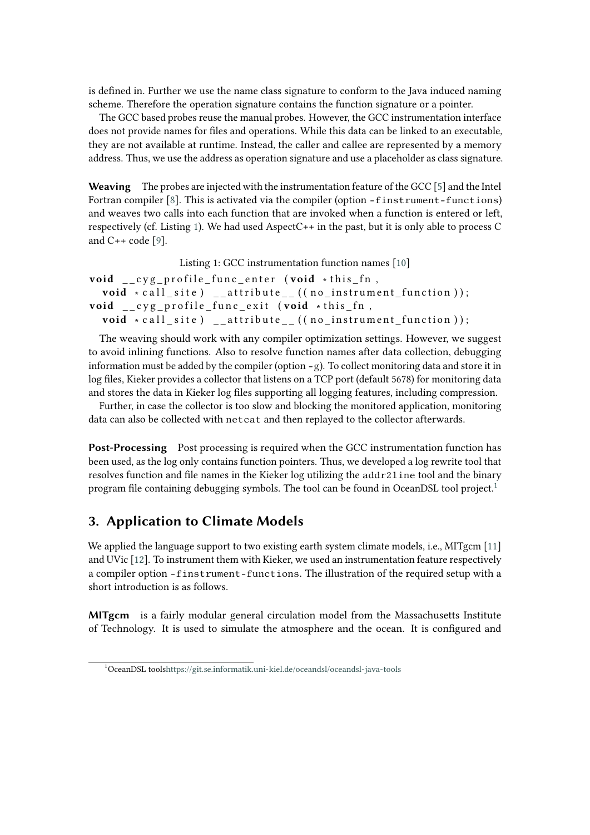is defined in. Further we use the name class signature to conform to the Java induced naming scheme. Therefore the operation signature contains the function signature or a pointer.

The GCC based probes reuse the manual probes. However, the GCC instrumentation interface does not provide names for files and operations. While this data can be linked to an executable, they are not available at runtime. Instead, the caller and callee are represented by a memory address. Thus, we use the address as operation signature and use a placeholder as class signature.

**Weaving** The probes are injected with the instrumentation feature of the GCC [\[5\]](#page-5-2) and the Intel Fortran compiler [\[8\]](#page-5-3). This is activated via the compiler (option -finstrument-functions) and weaves two calls into each function that are invoked when a function is entered or left, respectively (cf. Listing [1\)](#page-2-0). We had used AspectC++ in the past, but it is only able to process C and  $C++code$  [\[9\]](#page-5-4).

Listing 1: GCC instrumentation function names [\[10\]](#page-5-5)

```
void cyg profile func enter (void * this fn,
  void ∗ c all_site) __attribute__((no_instrument_function));
void __cyg_profile_func_exit (void ∗this_fn,
  void ∗ c all_site) __attribute__((no_instrument_function));
```
The weaving should work with any compiler optimization settings. However, we suggest to avoid inlining functions. Also to resolve function names after data collection, debugging information must be added by the compiler (option -g). To collect monitoring data and store it in log files, Kieker provides a collector that listens on a TCP port (default 5678) for monitoring data and stores the data in Kieker log files supporting all logging features, including compression.

Further, in case the collector is too slow and blocking the monitored application, monitoring data can also be collected with netcat and then replayed to the collector afterwards.

**Post-Processing** Post processing is required when the GCC instrumentation function has been used, as the log only contains function pointers. Thus, we developed a log rewrite tool that resolves function and file names in the Kieker log utilizing the addr2line tool and the binary program file containing debugging symbols. The tool can be found in OceanDSL tool project.<sup>[1](#page-2-1)</sup>

# **3. Application to Climate Models**

We applied the language support to two existing earth system climate models, i.e., MITgcm [\[11\]](#page-5-6) and UVic [\[12\]](#page-5-7). To instrument them with Kieker, we used an instrumentation feature respectively a compiler option -finstrument-functions. The illustration of the required setup with a short introduction is as follows.

**MITgcm** is a fairly modular general circulation model from the Massachusetts Institute of Technology. It is used to simulate the atmosphere and the ocean. It is configured and

<span id="page-2-1"></span><sup>1</sup>OceanDSL tool[shttps://git.se.informatik.uni-kiel.de/oceandsl/oceandsl-java-tools](https://git.se.informatik.uni-kiel.de/oceandsl/oceandsl-java-tools)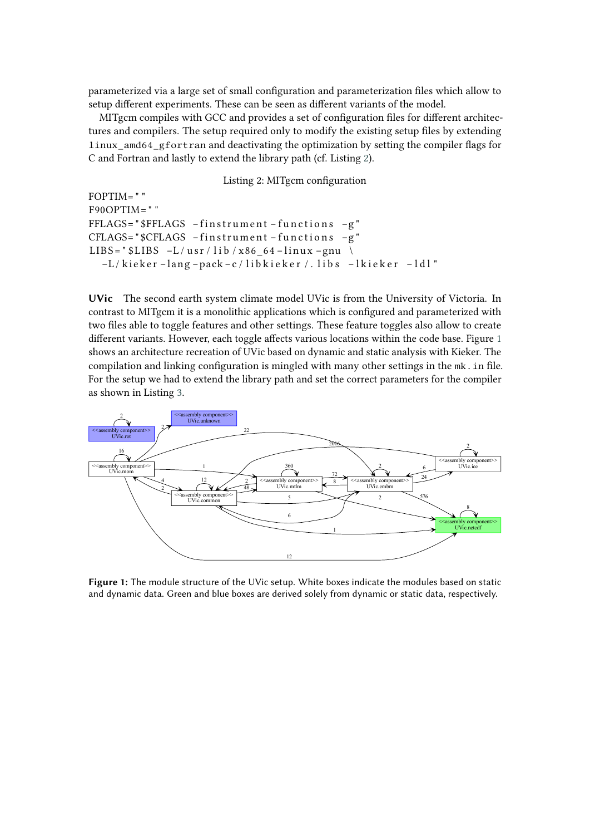parameterized via a large set of small configuration and parameterization files which allow to setup different experiments. These can be seen as different variants of the model.

MITgcm compiles with GCC and provides a set of configuration files for different architectures and compilers. The setup required only to modify the existing setup files by extending linux\_amd64\_gfortran and deactivating the optimization by setting the compiler flags for C and Fortran and lastly to extend the library path (cf. Listing [2\)](#page-3-0).

Listing 2: MITgcm configuration

```
FOPTIM = "F90OPTIM = "FFLAGS="$FFLAGS - finstrument - functions -g"
CFLAGS="$CFLAGS -finstrument-functions -g"
LIBS = "$LIBS - L / usr / lib / x86_64 - linux - gnu \ \ \ \ \ \ \ −L / k i e k e r −lang −pack −c / l i b k i e k e r / . l i b s − l k i e k e r − l d l "
```
**UVic** The second earth system climate model UVic is from the University of Victoria. In contrast to MITgcm it is a monolithic applications which is configured and parameterized with two files able to toggle features and other settings. These feature toggles also allow to create different variants. However, each toggle affects various locations within the code base. Figure [1](#page-3-1) shows an architecture recreation of UVic based on dynamic and static analysis with Kieker. The compilation and linking configuration is mingled with many other settings in the mk.in file. For the setup we had to extend the library path and set the correct parameters for the compiler as shown in Listing [3.](#page-4-0)



<span id="page-3-1"></span>**Figure 1:** The module structure of the UVic setup. White boxes indicate the modules based on static and dynamic data. Green and blue boxes are derived solely from dynamic or static data, respectively.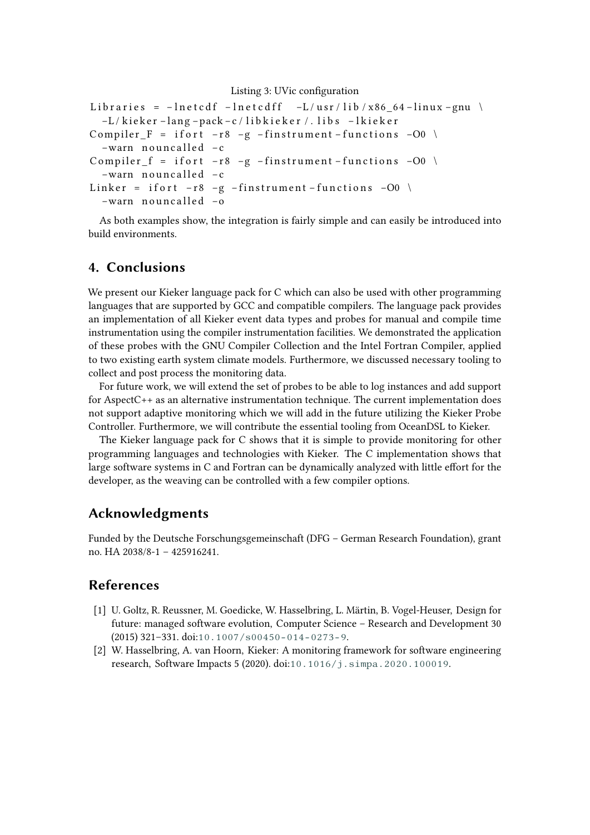```
Listing 3: UVic configuration
Libraries = -lnetcdf -lnetcdff -L/\text{usr}/lib/x86 64 - linux -gnu \setminus−L / k i e k e r −lang −pack −c / l i b k i e k e r / . l i b s − l k i e k e r
Compiler_F = if ort -r8 - g -finstrument -functions -O0 \
  −warn n o u n c a l l e d −c
Compiler f = ifort -r8 -g -f instrument - functions -O0−warn nouncalled −c
Linker = if ort -r8 -g -finstrument -functions -00 \
  −warn n o u n c a l l e d −o
```
As both examples show, the integration is fairly simple and can easily be introduced into build environments.

# **4. Conclusions**

We present our Kieker language pack for C which can also be used with other programming languages that are supported by GCC and compatible compilers. The language pack provides an implementation of all Kieker event data types and probes for manual and compile time instrumentation using the compiler instrumentation facilities. We demonstrated the application of these probes with the GNU Compiler Collection and the Intel Fortran Compiler, applied to two existing earth system climate models. Furthermore, we discussed necessary tooling to collect and post process the monitoring data.

For future work, we will extend the set of probes to be able to log instances and add support for AspectC++ as an alternative instrumentation technique. The current implementation does not support adaptive monitoring which we will add in the future utilizing the Kieker Probe Controller. Furthermore, we will contribute the essential tooling from OceanDSL to Kieker.

The Kieker language pack for C shows that it is simple to provide monitoring for other programming languages and technologies with Kieker. The C implementation shows that large software systems in C and Fortran can be dynamically analyzed with little effort for the developer, as the weaving can be controlled with a few compiler options.

# **Acknowledgments**

Funded by the Deutsche Forschungsgemeinschaft (DFG – German Research Foundation), grant no. HA 2038/8-1 – 425916241.

## **References**

- [1] U. Goltz, R. Reussner, M. Goedicke, W. Hasselbring, L. Märtin, B. Vogel-Heuser, Design for future: managed software evolution, Computer Science – Research and Development 30 (2015) 321–331. doi:[10.1007/s00450-014-0273-9](http://dx.doi.org/10.1007/s00450-014-0273-9).
- [2] W. Hasselbring, A. van Hoorn, Kieker: A monitoring framework for software engineering research, Software Impacts 5 (2020). doi:[10.1016/j.simpa.2020.100019](http://dx.doi.org/10.1016/j.simpa.2020.100019).